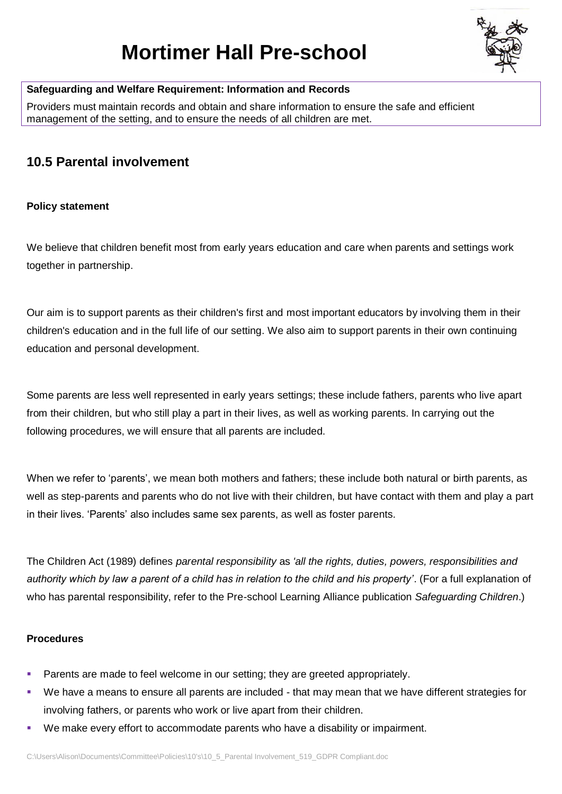# **Mortimer Hall Pre-school**



# **Safeguarding and Welfare Requirement: Information and Records**

Providers must maintain records and obtain and share information to ensure the safe and efficient management of the setting, and to ensure the needs of all children are met.

# **10.5 Parental involvement**

### **Policy statement**

We believe that children benefit most from early years education and care when parents and settings work together in partnership.

Our aim is to support parents as their children's first and most important educators by involving them in their children's education and in the full life of our setting. We also aim to support parents in their own continuing education and personal development.

Some parents are less well represented in early years settings; these include fathers, parents who live apart from their children, but who still play a part in their lives, as well as working parents. In carrying out the following procedures, we will ensure that all parents are included.

When we refer to 'parents', we mean both mothers and fathers; these include both natural or birth parents, as well as step-parents and parents who do not live with their children, but have contact with them and play a part in their lives. 'Parents' also includes same sex parents, as well as foster parents.

The Children Act (1989) defines *parental responsibility* as *'all the rights, duties, powers, responsibilities and authority which by law a parent of a child has in relation to the child and his property'*. (For a full explanation of who has parental responsibility, refer to the Pre-school Learning Alliance publication *Safeguarding Children*.)

#### **Procedures**

- Parents are made to feel welcome in our setting; they are greeted appropriately.
- We have a means to ensure all parents are included that may mean that we have different strategies for involving fathers, or parents who work or live apart from their children.
- We make every effort to accommodate parents who have a disability or impairment.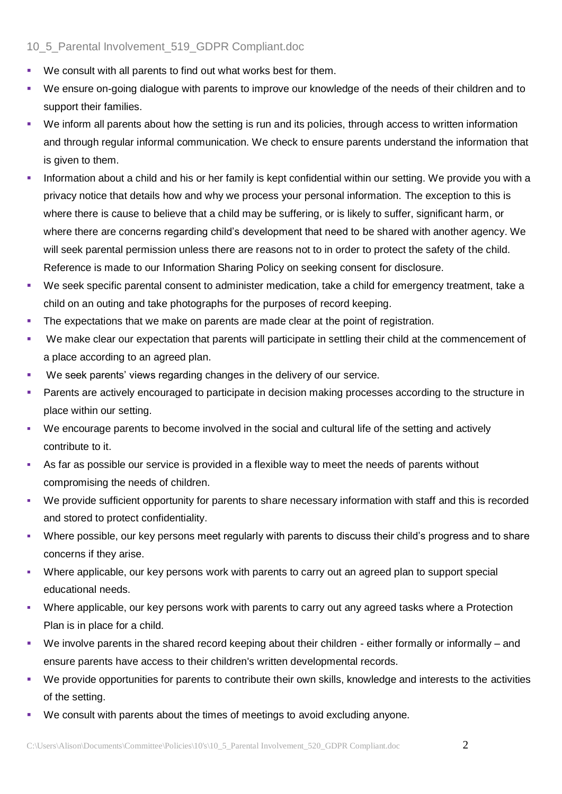# 10\_5\_Parental Involvement\_519\_GDPR Compliant.doc

- We consult with all parents to find out what works best for them.
- We ensure on-going dialogue with parents to improve our knowledge of the needs of their children and to support their families.
- We inform all parents about how the setting is run and its policies, through access to written information and through regular informal communication. We check to ensure parents understand the information that is given to them.
- Information about a child and his or her family is kept confidential within our setting. We provide you with a privacy notice that details how and why we process your personal information. The exception to this is where there is cause to believe that a child may be suffering, or is likely to suffer, significant harm, or where there are concerns regarding child's development that need to be shared with another agency. We will seek parental permission unless there are reasons not to in order to protect the safety of the child. Reference is made to our Information Sharing Policy on seeking consent for disclosure.
- We seek specific parental consent to administer medication, take a child for emergency treatment, take a child on an outing and take photographs for the purposes of record keeping.
- **•** The expectations that we make on parents are made clear at the point of registration.
- We make clear our expectation that parents will participate in settling their child at the commencement of a place according to an agreed plan.
- We seek parents' views regarding changes in the delivery of our service.
- Parents are actively encouraged to participate in decision making processes according to the structure in place within our setting.
- We encourage parents to become involved in the social and cultural life of the setting and actively contribute to it.
- As far as possible our service is provided in a flexible way to meet the needs of parents without compromising the needs of children.
- We provide sufficient opportunity for parents to share necessary information with staff and this is recorded and stored to protect confidentiality.
- Where possible, our key persons meet regularly with parents to discuss their child's progress and to share concerns if they arise.
- Where applicable, our key persons work with parents to carry out an agreed plan to support special educational needs.
- Where applicable, our key persons work with parents to carry out any agreed tasks where a Protection Plan is in place for a child.
- We involve parents in the shared record keeping about their children either formally or informally and ensure parents have access to their children's written developmental records.
- We provide opportunities for parents to contribute their own skills, knowledge and interests to the activities of the setting.
- We consult with parents about the times of meetings to avoid excluding anyone.